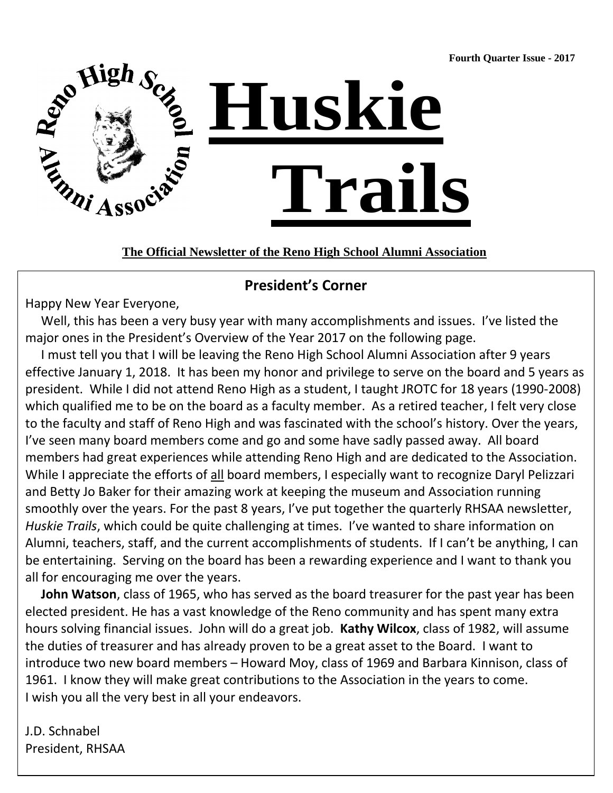**Fourth Quarter Issue - 2017**



**The Official Newsletter of the Reno High School Alumni Association**

# **President's Corner**

Happy New Year Everyone,

 Well, this has been a very busy year with many accomplishments and issues. I've listed the major ones in the President's Overview of the Year 2017 on the following page.

 I must tell you that I will be leaving the Reno High School Alumni Association after 9 years effective January 1, 2018. It has been my honor and privilege to serve on the board and 5 years as president. While I did not attend Reno High as a student, I taught JROTC for 18 years (1990-2008) which qualified me to be on the board as a faculty member. As a retired teacher, I felt very close to the faculty and staff of Reno High and was fascinated with the school's history. Over the years, I've seen many board members come and go and some have sadly passed away. All board members had great experiences while attending Reno High and are dedicated to the Association. While I appreciate the efforts of all board members, I especially want to recognize Daryl Pelizzari and Betty Jo Baker for their amazing work at keeping the museum and Association running smoothly over the years. For the past 8 years, I've put together the quarterly RHSAA newsletter, *Huskie Trails*, which could be quite challenging at times. I've wanted to share information on Alumni, teachers, staff, and the current accomplishments of students. If I can't be anything, I can be entertaining. Serving on the board has been a rewarding experience and I want to thank you all for encouraging me over the years.

 **John Watson**, class of 1965, who has served as the board treasurer for the past year has been elected president. He has a vast knowledge of the Reno community and has spent many extra hours solving financial issues. John will do a great job. **Kathy Wilcox**, class of 1982, will assume the duties of treasurer and has already proven to be a great asset to the Board. I want to introduce two new board members – Howard Moy, class of 1969 and Barbara Kinnison, class of 1961. I know they will make great contributions to the Association in the years to come. I wish you all the very best in all your endeavors.

J.D. Schnabel President, RHSAA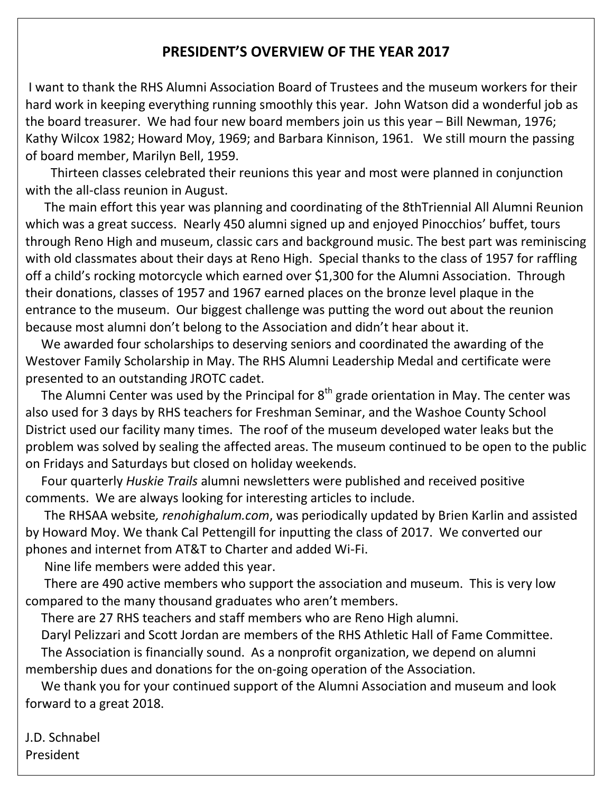## **PRESIDENT'S OVERVIEW OF THE YEAR 2017**

I want to thank the RHS Alumni Association Board of Trustees and the museum workers for their hard work in keeping everything running smoothly this year. John Watson did a wonderful job as the board treasurer. We had four new board members join us this year – Bill Newman, 1976; Kathy Wilcox 1982; Howard Moy, 1969; and Barbara Kinnison, 1961. We still mourn the passing of board member, Marilyn Bell, 1959.

 Thirteen classes celebrated their reunions this year and most were planned in conjunction with the all-class reunion in August.

 The main effort this year was planning and coordinating of the 8thTriennial All Alumni Reunion which was a great success. Nearly 450 alumni signed up and enjoyed Pinocchios' buffet, tours through Reno High and museum, classic cars and background music. The best part was reminiscing with old classmates about their days at Reno High. Special thanks to the class of 1957 for raffling off a child's rocking motorcycle which earned over \$1,300 for the Alumni Association. Through their donations, classes of 1957 and 1967 earned places on the bronze level plaque in the entrance to the museum. Our biggest challenge was putting the word out about the reunion because most alumni don't belong to the Association and didn't hear about it.

 We awarded four scholarships to deserving seniors and coordinated the awarding of the Westover Family Scholarship in May. The RHS Alumni Leadership Medal and certificate were presented to an outstanding JROTC cadet.

The Alumni Center was used by the Principal for  $8<sup>th</sup>$  grade orientation in May. The center was also used for 3 days by RHS teachers for Freshman Seminar, and the Washoe County School District used our facility many times. The roof of the museum developed water leaks but the problem was solved by sealing the affected areas. The museum continued to be open to the public on Fridays and Saturdays but closed on holiday weekends.

 Four quarterly *Huskie Trails* alumni newsletters were published and received positive comments. We are always looking for interesting articles to include.

 The RHSAA website*, renohighalum.com*, was periodically updated by Brien Karlin and assisted by Howard Moy. We thank Cal Pettengill for inputting the class of 2017. We converted our phones and internet from AT&T to Charter and added Wi-Fi.

Nine life members were added this year.

 There are 490 active members who support the association and museum. This is very low compared to the many thousand graduates who aren't members.

There are 27 RHS teachers and staff members who are Reno High alumni.

Daryl Pelizzari and Scott Jordan are members of the RHS Athletic Hall of Fame Committee.

 The Association is financially sound. As a nonprofit organization, we depend on alumni membership dues and donations for the on-going operation of the Association.

 We thank you for your continued support of the Alumni Association and museum and look forward to a great 2018.

J.D. Schnabel President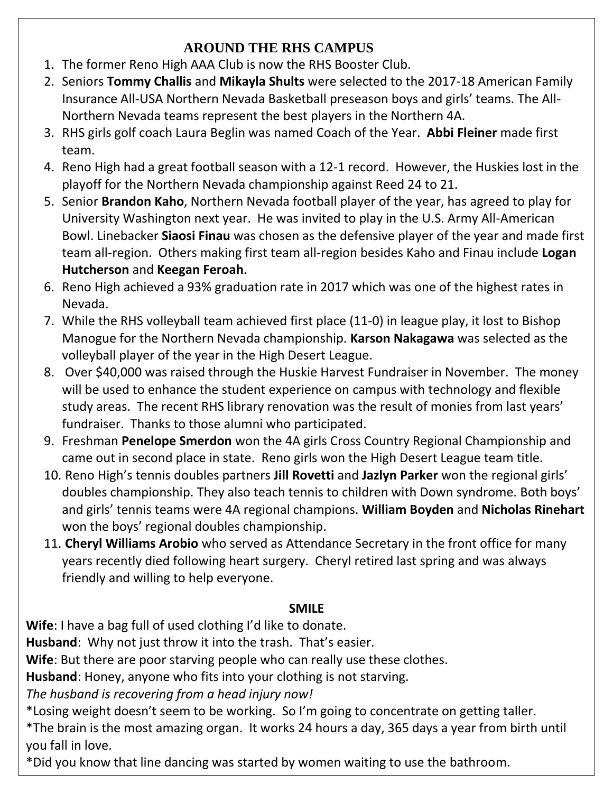# **AROUND THE RHS CAMPUS**

- 1. The former Reno High AAA Club is now the RHS Booster Club.
- 2. Seniors **Tommy Challis** and **Mikayla Shults** were selected to the 2017-18 American Family Insurance All-USA Northern Nevada Basketball preseason boys and girls' teams. The All-Northern Nevada teams represent the best players in the Northern 4A.
- 3. RHS girls golf coach Laura Beglin was named Coach of the Year. **Abbi Fleiner** made first team.
- 4. Reno High had a great football season with a 12-1 record. However, the Huskies lost in the playoff for the Northern Nevada championship against Reed 24 to 21.
- 5. Senior **Brandon Kaho**, Northern Nevada football player of the year, has agreed to play for University Washington next year. He was invited to play in the U.S. Army All-American Bowl. Linebacker **Siaosi Finau** was chosen as the defensive player of the year and made first team all-region. Others making first team all-region besides Kaho and Finau include **Logan Hutcherson** and **Keegan Feroah**.
- 6. Reno High achieved a 93% graduation rate in 2017 which was one of the highest rates in Nevada.
- 7. While the RHS volleyball team achieved first place (11-0) in league play, it lost to Bishop Manogue for the Northern Nevada championship. **Karson Nakagawa** was selected as the volleyball player of the year in the High Desert League.
- 8. Over \$40,000 was raised through the Huskie Harvest Fundraiser in November. The money will be used to enhance the student experience on campus with technology and flexible study areas. The recent RHS library renovation was the result of monies from last years' fundraiser. Thanks to those alumni who participated.
- 9. Freshman **Penelope Smerdon** won the 4A girls Cross Country Regional Championship and came out in second place in state. Reno girls won the High Desert League team title.
- 10. Reno High's tennis doubles partners **Jill Rovetti** and **Jazlyn Parker** won the regional girls' doubles championship. They also teach tennis to children with Down syndrome. Both boys' and girls' tennis teams were 4A regional champions. **William Boyden** and **Nicholas Rinehart** won the boys' regional doubles championship.
- 11. **Cheryl Williams Arobio** who served as Attendance Secretary in the front office for many years recently died following heart surgery. Cheryl retired last spring and was always friendly and willing to help everyone.

## **SMILE**

**Wife**: I have a bag full of used clothing I'd like to donate.

**Husband**: Why not just throw it into the trash. That's easier.

**Wife**: But there are poor starving people who can really use these clothes.

**Husband**: Honey, anyone who fits into your clothing is not starving.

*The husband is recovering from a head injury now!*

\*Losing weight doesn't seem to be working. So I'm going to concentrate on getting taller.

\*The brain is the most amazing organ. It works 24 hours a day, 365 days a year from birth until you fall in love.

\*Did you know that line dancing was started by women waiting to use the bathroom.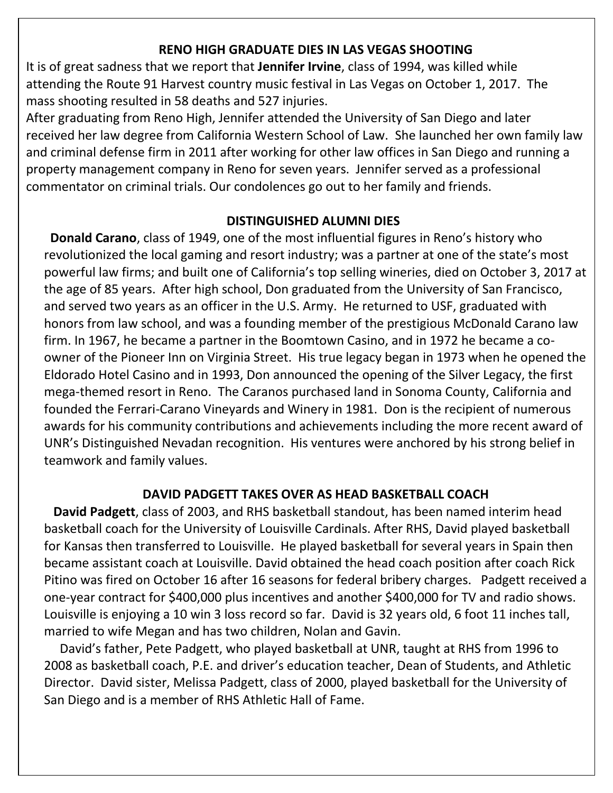#### **RENO HIGH GRADUATE DIES IN LAS VEGAS SHOOTING**

It is of great sadness that we report that **Jennifer Irvine**, class of 1994, was killed while attending the Route 91 Harvest country music festival in Las Vegas on October 1, 2017. The mass shooting resulted in 58 deaths and 527 injuries.

After graduating from Reno High, Jennifer attended the University of San Diego and later received her law degree from California Western School of Law. She launched her own family law and criminal defense firm in 2011 after working for other law offices in San Diego and running a property management company in Reno for seven years. Jennifer served as a professional commentator on criminal trials. Our condolences go out to her family and friends.

#### **DISTINGUISHED ALUMNI DIES**

and served two years as an officer in the U.S. Army. He returned to USF, graduated with honors from law school, and was a founding member of the prestigious McDonald Carano law firm. In 1967, he became a partner in the Boomtown Casino, and in 1972 he became a coowner of the Pioneer Inn on Virginia Street. His true legacy began in 1973 when he opened the Eldorado Hotel Casino and in 1993, Don announced the opening of the Silver Legacy, the first mega-themed resort in Reno. The Caranos purchased land in Sonoma County, California and founded the Ferrari-Carano Vineyards and Winery in 1981. Don is the recipient of numerous **Donald Carano**, class of 1949, one of the most influential figures in Reno's history who revolutionized the local gaming and resort industry; was a partner at one of the state's most powerful law firms; and built one of California's top selling wineries, died on October 3, 2017 at the age of 85 years. After high school, Don graduated from the University of San Francisco, awards for his community contributions and achievements including the more recent award of UNR's Distinguished Nevadan recognition. His ventures were anchored by his strong belief in teamwork and family values.

#### **DAVID PADGETT TAKES OVER AS HEAD BASKETBALL COACH**

 **David Padgett**, class of 2003, and RHS basketball standout, has been named interim head basketball coach for the University of Louisville Cardinals. After RHS, David played basketball for Kansas then transferred to Louisville. He played basketball for several years in Spain then became assistant coach at Louisville. David obtained the head coach position after coach Rick Pitino was fired on October 16 after 16 seasons for federal bribery charges. Padgett received a one-year contract for \$400,000 plus incentives and another \$400,000 for TV and radio shows. Louisville is enjoying a 10 win 3 loss record so far. David is 32 years old, 6 foot 11 inches tall, married to wife Megan and has two children, Nolan and Gavin.

married to wife Megan and has two children, Nolan and Gavin.<br>David's father, Pete Padgett, who played basketball at UNR, taught at RHS from 1996 to 1996 – 2009 – 2009 – 2009 – 2009 – 2009 – 2009 – 2009 – 2009 – 2009 – 2009 – 2009 – 2009 June 254-264-94-264-Director. David sister, Melissa Padgett, class of 2000, played basketball for the University of San Diego and is a member of RHS Athletic Hall of Fame. 2008 as basketball coach, P.E. and driver's education teacher, Dean of Students, and Athletic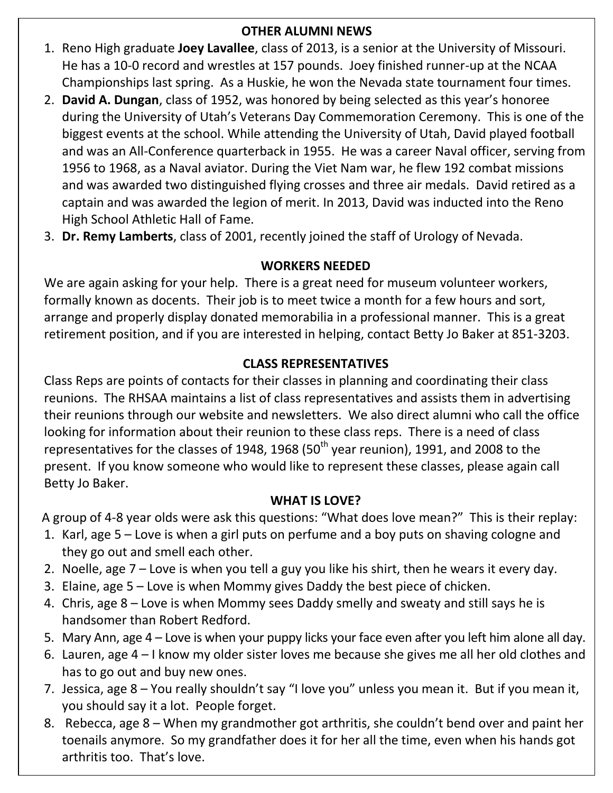## **OTHER ALUMNI NEWS**

- 1. Reno High graduate **Joey Lavallee**, class of 2013, is a senior at the University of Missouri. He has a 10-0 record and wrestles at 157 pounds. Joey finished runner-up at the NCAA Championships last spring. As a Huskie, he won the Nevada state tournament four times.
- 2. **David A. Dungan**, class of 1952, was honored by being selected as this year's honoree during the University of Utah's Veterans Day Commemoration Ceremony. This is one of the biggest events at the school. While attending the University of Utah, David played football and was an All-Conference quarterback in 1955. He was a career Naval officer, serving from 1956 to 1968, as a Naval aviator. During the Viet Nam war, he flew 192 combat missions and was awarded two distinguished flying crosses and three air medals. David retired as a captain and was awarded the legion of merit. In 2013, David was inducted into the Reno High School Athletic Hall of Fame.
- 3. **Dr. Remy Lamberts**, class of 2001, recently joined the staff of Urology of Nevada.

## **WORKERS NEEDED**

We are again asking for your help. There is a great need for museum volunteer workers, formally known as docents. Their job is to meet twice a month for a few hours and sort, arrange and properly display donated memorabilia in a professional manner. This is a great retirement position, and if you are interested in helping, contact Betty Jo Baker at 851-3203.

## **CLASS REPRESENTATIVES**

Class Reps are points of contacts for their classes in planning and coordinating their class reunions. The RHSAA maintains a list of class representatives and assists them in advertising their reunions through our website and newsletters. We also direct alumni who call the office looking for information about their reunion to these class reps. There is a need of class representatives for the classes of 1948, 1968 (50<sup>th</sup> year reunion), 1991, and 2008 to the present. If you know someone who would like to represent these classes, please again call Betty Jo Baker.

## **WHAT IS LOVE?**

A group of 4-8 year olds were ask this questions: "What does love mean?" This is their replay:

- 1. Karl, age 5 Love is when a girl puts on perfume and a boy puts on shaving cologne and they go out and smell each other.
- 2. Noelle, age 7 Love is when you tell a guy you like his shirt, then he wears it every day.
- 3. Elaine, age 5 Love is when Mommy gives Daddy the best piece of chicken.
- 4. Chris, age 8 Love is when Mommy sees Daddy smelly and sweaty and still says he is handsomer than Robert Redford.
- 5. Mary Ann, age 4 Love is when your puppy licks your face even after you left him alone all day.
- 6. Lauren, age 4 I know my older sister loves me because she gives me all her old clothes and has to go out and buy new ones.
- 7. Jessica, age 8 You really shouldn't say "I love you" unless you mean it. But if you mean it, you should say it a lot. People forget.
- 8. Rebecca, age 8 When my grandmother got arthritis, she couldn't bend over and paint her toenails anymore. So my grandfather does it for her all the time, even when his hands got arthritis too. That's love.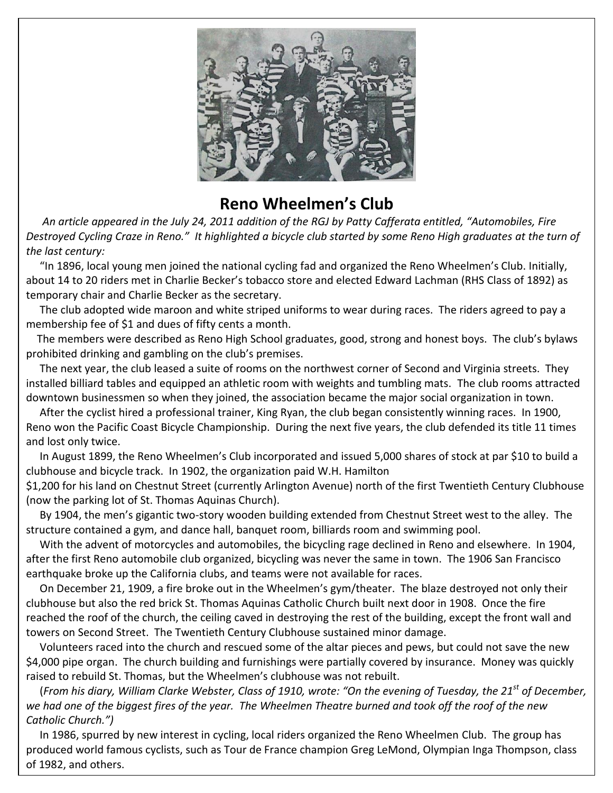

# **Reno Wheelmen's Club**

 *An article appeared in the July 24, 2011 addition of the RGJ by Patty Cafferata entitled, "Automobiles, Fire Destroyed Cycling Craze in Reno." It highlighted a bicycle club started by some Reno High graduates at the turn of the last century:*

"In 1896, local young men joined the national cycling fad and organized the Reno Wheelmen's Club. Initially, about 14 to 20 riders met in Charlie Becker's tobacco store and elected Edward Lachman (RHS Class of 1892) as temporary chair and Charlie Becker as the secretary.

 The club adopted wide maroon and white striped uniforms to wear during races. The riders agreed to pay a membership fee of \$1 and dues of fifty cents a month.

 The members were described as Reno High School graduates, good, strong and honest boys. The club's bylaws prohibited drinking and gambling on the club's premises.

 The next year, the club leased a suite of rooms on the northwest corner of Second and Virginia streets. They installed billiard tables and equipped an athletic room with weights and tumbling mats. The club rooms attracted downtown businessmen so when they joined, the association became the major social organization in town.

 After the cyclist hired a professional trainer, King Ryan, the club began consistently winning races. In 1900, Reno won the Pacific Coast Bicycle Championship. During the next five years, the club defended its title 11 times and lost only twice.

 In August 1899, the Reno Wheelmen's Club incorporated and issued 5,000 shares of stock at par \$10 to build a clubhouse and bicycle track. In 1902, the organization paid W.H. Hamilton

\$1,200 for his land on Chestnut Street (currently Arlington Avenue) north of the first Twentieth Century Clubhouse (now the parking lot of St. Thomas Aquinas Church).

 By 1904, the men's gigantic two-story wooden building extended from Chestnut Street west to the alley. The structure contained a gym, and dance hall, banquet room, billiards room and swimming pool.

 With the advent of motorcycles and automobiles, the bicycling rage declined in Reno and elsewhere. In 1904, after the first Reno automobile club organized, bicycling was never the same in town. The 1906 San Francisco earthquake broke up the California clubs, and teams were not available for races.

 On December 21, 1909, a fire broke out in the Wheelmen's gym/theater. The blaze destroyed not only their clubhouse but also the red brick St. Thomas Aquinas Catholic Church built next door in 1908. Once the fire reached the roof of the church, the ceiling caved in destroying the rest of the building, except the front wall and towers on Second Street. The Twentieth Century Clubhouse sustained minor damage.

 Volunteers raced into the church and rescued some of the altar pieces and pews, but could not save the new \$4,000 pipe organ. The church building and furnishings were partially covered by insurance. Money was quickly raised to rebuild St. Thomas, but the Wheelmen's clubhouse was not rebuilt.

 (*From his diary, William Clarke Webster, Class of 1910, wrote: "On the evening of Tuesday, the 21st of December, we had one of the biggest fires of the year. The Wheelmen Theatre burned and took off the roof of the new Catholic Church.")*

In 1986, spurred by new interest in cycling, local riders organized the Reno Wheelmen Club. The group has produced world famous cyclists, such as Tour de France champion Greg LeMond, Olympian Inga Thompson, class of 1982, and others.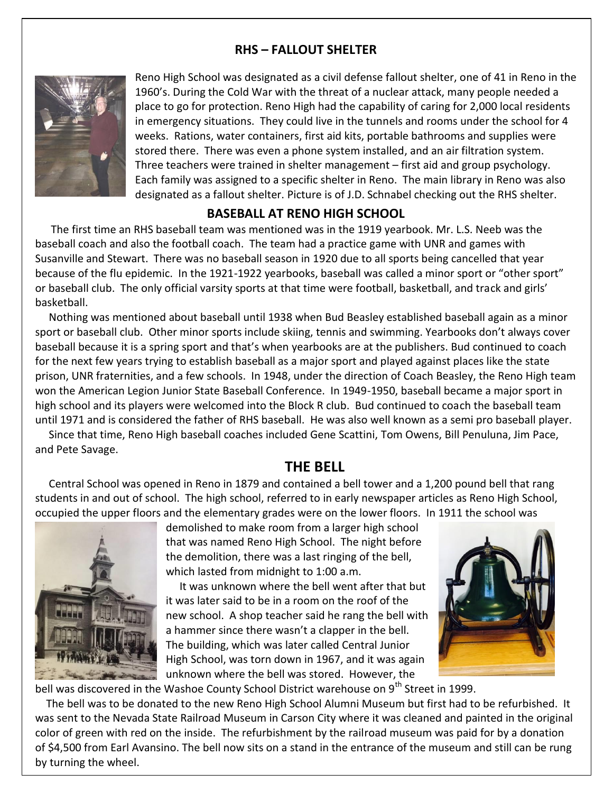#### **RHS – FALLOUT SHELTER**



Reno High School was designated as a civil defense fallout shelter, one of 41 in Reno in the 1960's. During the Cold War with the threat of a nuclear attack, many people needed a place to go for protection. Reno High had the capability of caring for 2,000 local residents in emergency situations. They could live in the tunnels and rooms under the school for 4 weeks. Rations, water containers, first aid kits, portable bathrooms and supplies were stored there. There was even a phone system installed, and an air filtration system. Three teachers were trained in shelter management – first aid and group psychology. Each family was assigned to a specific shelter in Reno. The main library in Reno was also designated as a fallout shelter. Picture is of J.D. Schnabel checking out the RHS shelter.

#### **BASEBALL AT RENO HIGH SCHOOL**

 The first time an RHS baseball team was mentioned was in the 1919 yearbook. Mr. L.S. Neeb was the baseball coach and also the football coach. The team had a practice game with UNR and games with Susanville and Stewart. There was no baseball season in 1920 due to all sports being cancelled that year because of the flu epidemic. In the 1921-1922 yearbooks, baseball was called a minor sport or "other sport" or baseball club. The only official varsity sports at that time were football, basketball, and track and girls' basketball.

 Nothing was mentioned about baseball until 1938 when Bud Beasley established baseball again as a minor sport or baseball club. Other minor sports include skiing, tennis and swimming. Yearbooks don't always cover baseball because it is a spring sport and that's when yearbooks are at the publishers. Bud continued to coach for the next few years trying to establish baseball as a major sport and played against places like the state prison, UNR fraternities, and a few schools. In 1948, under the direction of Coach Beasley, the Reno High team won the American Legion Junior State Baseball Conference. In 1949-1950, baseball became a major sport in high school and its players were welcomed into the Block R club. Bud continued to coach the baseball team until 1971 and is considered the father of RHS baseball. He was also well known as a semi pro baseball player.

 Since that time, Reno High baseball coaches included Gene Scattini, Tom Owens, Bill Penuluna, Jim Pace, and Pete Savage.

#### **THE BELL**

 Central School was opened in Reno in 1879 and contained a bell tower and a 1,200 pound bell that rang students in and out of school. The high school, referred to in early newspaper articles as Reno High School, occupied the upper floors and the elementary grades were on the lower floors. In 1911 the school was



demolished to make room from a larger high school that was named Reno High School. The night before the demolition, there was a last ringing of the bell, which lasted from midnight to 1:00 a.m.

 It was unknown where the bell went after that but it was later said to be in a room on the roof of the new school. A shop teacher said he rang the bell with a hammer since there wasn't a clapper in the bell. The building, which was later called Central Junior High School, was torn down in 1967, and it was again unknown where the bell was stored. However, the



bell was discovered in the Washoe County School District warehouse on 9<sup>th</sup> Street in 1999.

 The bell was to be donated to the new Reno High School Alumni Museum but first had to be refurbished. It was sent to the Nevada State Railroad Museum in Carson City where it was cleaned and painted in the original color of green with red on the inside. The refurbishment by the railroad museum was paid for by a donation of \$4,500 from Earl Avansino. The bell now sits on a stand in the entrance of the museum and still can be rung by turning the wheel.